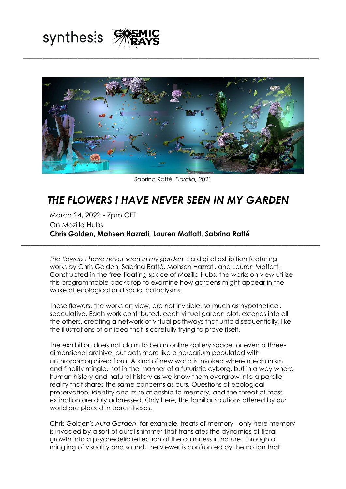



\_\_\_\_\_\_\_\_\_\_\_\_\_\_\_\_\_\_\_\_\_\_\_\_\_\_\_\_\_\_\_\_\_\_\_\_\_\_\_\_\_\_\_\_\_\_\_\_\_\_\_\_\_\_\_\_\_\_\_\_\_\_\_\_\_\_\_\_\_\_\_\_\_\_\_\_\_\_\_\_\_\_\_\_\_\_\_\_\_\_\_\_\_

Sabrina Ratté, *Floralia,* 2021

## *THE FLOWERS I HAVE NEVER SEEN IN MY GARDEN*

March 24, 2022 - 7pm CET On Mozilla Hubs **Chris Golden, Mohsen Hazrati, Lauren Moffatt, Sabrina Ratté**

*The flowers I have never seen in my garden* is a digital exhibition featuring works by Chris Golden, Sabrina Ratté, Mohsen Hazrati, and Lauren Moffatt. Constructed in the free-floating space of Mozilla Hubs, the works on view utilize this programmable backdrop to examine how gardens might appear in the wake of ecological and social cataclysms.

\_\_\_\_\_\_\_\_\_\_\_\_\_\_\_\_\_\_\_\_\_\_\_\_\_\_\_\_\_\_\_\_\_\_\_\_\_\_\_\_\_\_\_\_\_\_\_\_\_\_\_\_\_\_\_\_\_\_\_\_\_\_\_\_\_\_\_\_\_\_\_\_\_\_\_\_\_\_\_\_\_\_\_\_\_\_\_\_\_\_\_\_\_\_

These flowers, the works on view, are not invisible, so much as hypothetical, speculative. Each work contributed, each virtual garden plot, extends into all the others, creating a network of virtual pathways that unfold sequentially, like the illustrations of an idea that is carefully trying to prove itself.

The exhibition does not claim to be an online gallery space, or even a threedimensional archive, but acts more like a herbarium populated with anthropomorphized flora. A kind of new world is invoked where mechanism and finality mingle, not in the manner of a futuristic cyborg, but in a way where human history and natural history as we know them overgrow into a parallel reality that shares the same concerns as ours. Questions of ecological preservation, identity and its relationship to memory, and the threat of mass extinction are duly addressed. Only here, the familiar solutions offered by our world are placed in parentheses.

Chris Golden's *Aura Garden*, for example, treats of memory - only here memory is invaded by a sort of aural shimmer that translates the dynamics of floral growth into a psychedelic reflection of the calmness in nature. Through a mingling of visuality and sound, the viewer is confronted by the notion that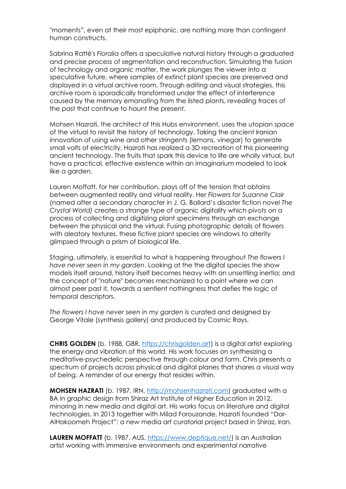"moments", even at their most epiphanic, are nothing more than contingent human constructs.

Sabrina Ratté's *Floralia* offers a speculative natural history through a graduated and precise process of segmentation and reconstruction. Simulating the fusion of technology and organic matter, the work plunges the viewer into a speculative future, where samples of extinct plant species are preserved and displayed in a virtual archive room. Through editing and visual strategies, this archive room is sporadically transformed under the effect of interference caused by the memory emanating from the listed plants, revealing traces of the past that continue to haunt the present.

Mohsen Hazrati, the architect of this Hubs environment, uses the utopian space of the virtual to revisit the history of technology. Taking the ancient Iranian innovation of using wine and other stringents (lemons, vinegar) to generate small volts of electricity, Hazrati has realized a 3D recreation of this pioneering ancient technology. The fruits that spark this device to life are wholly virtual, but have a practical, effective existence within an imaginarium modeled to look like a garden.

Lauren Moffatt, for her contribution, plays off of the tension that obtains between augmented reality and virtual reality. Her *Flowers for Suzanne Clair* (named after a secondary character in J. G. Ballard's disaster fiction novel *The Crystal World)* creates a strange type of organic digitality which pivots on a process of collecting and digitizing plant specimens through an exchange between the physical and the virtual. Fusing photographic details of flowers with aleatory textures, these fictive plant species are windows to alterity glimpsed through a prism of biological life.

Staging, ultimately, is essential to what is happening throughout *The flowers I have never seen in my garden*. Looking at the the digital species the show models itself around, history itself becomes heavy with an unsettling inertia; and the concept of "nature" becomes mechanized to a point where we can almost peer past it, towards a sentient nothingness that defies the logic of temporal descriptors.

*The flowers I have never seen in my garden* is curated and designed by George Vitale (synthesis gallery) and produced by Cosmic Rays.

**CHRIS GOLDEN** (b. 1988, GBR, [https://chrisgolden.art\)](https://chrisgolden.art/) is a digital artist exploring the energy and vibration of this world. His work focuses on synthesizing a meditative-psychedelic perspective through colour and form. Chris presents a spectrum of projects across physical and digital planes that shares a visual way of being. A reminder of our energy that resides within.

**MOHSEN HAZRATI** (b. 1987, IRN, [http://mohsenhazrati.com\)](http://mohsenhazrati.com/) graduated with a BA in graphic design from Shiraz Art Institute of Higher Education in 2012, minoring in new media and digital art. His works focus on literature and digital technologies. In 2013 together with Milad Forouzande, Hazrati founded "Dar-AlHokoomeh Project": a new media art curatorial project based in Shiraz, Iran.

LAUREN MOFFATT (b. 1987, AUS, [https://www.deptique.net/\)](https://www.deptique.net/) is an Australian artist working with immersive environments and experimental narrative